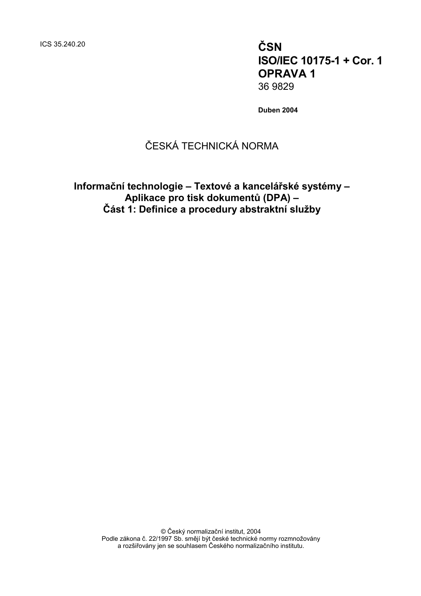ICS 35.240.20 **ČSN**

**ISO/IEC 10175-1 + Cor. 1 OPRAVA 1** 36 9829

**Duben 2004**

# ČESKÁ TECHNICKÁ NORMA

**Informační technologie – Textové a kancelářské systémy – Aplikace pro tisk dokumentů (DPA) – Část 1: Definice a procedury abstraktní služby**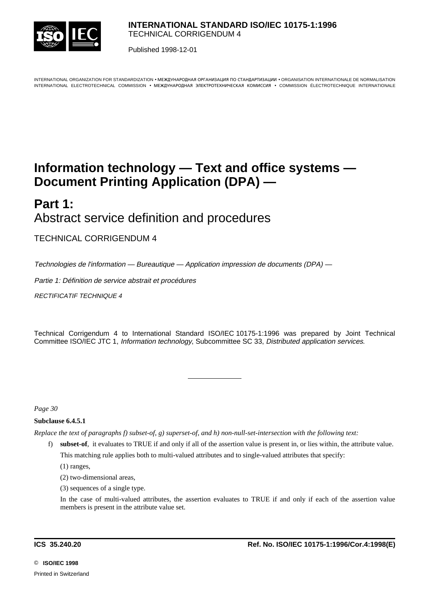

Published 1998-12-01

INTERNATIONAL ORGANIZATION FOR STANDARDIZATION • MEЖДУНАРОДНАЯ ОРГАНИЗАЦИЯ ПО СТАНДАРТИЗАЦИИ • ORGANISATION INTERNATIONALE DE NORMALISATION INTERNATIONAL ELECTROTECHNICAL COMMISSION • MEЖДУНАРОДНАЯ ЭЛЕКТРОТЕХНИЧЕСКАЯ КОМИССИЯ • COMMISSION ÉLECTROTECHNIQUE INTERNATIONALE

# **Information technology — Text and office systems — Document Printing Application (DPA) —**

# **Part 1:** Abstract service definition and procedures

TECHNICAL CORRIGENDUM 4

Technologies de l'information — Bureautique — Application impression de documents (DPA) —

Partie 1: Définition de service abstrait et procédures

RECTIFICATIF TECHNIQUE 4

Technical Corrigendum 4 to International Standard ISO/IEC 10175-1:1996 was prepared by Joint Technical Committee ISO/IEC JTC 1, Information technology, Subcommittee SC 33, Distributed application services.

*Page 30*

# **Subclause 6.4.5.1**

*Replace the text of paragraphs f) subset-of, g) superset-of, and h) non-null-set-intersection with the following text:*

l

f) **subset-of**, it evaluates to TRUE if and only if all of the assertion value is present in, or lies within, the attribute value. This matching rule applies both to multi-valued attributes and to single-valued attributes that specify:

(1) ranges,

- (2) two-dimensional areas,
- (3) sequences of a single type.

In the case of multi-valued attributes, the assertion evaluates to TRUE if and only if each of the assertion value members is present in the attribute value set.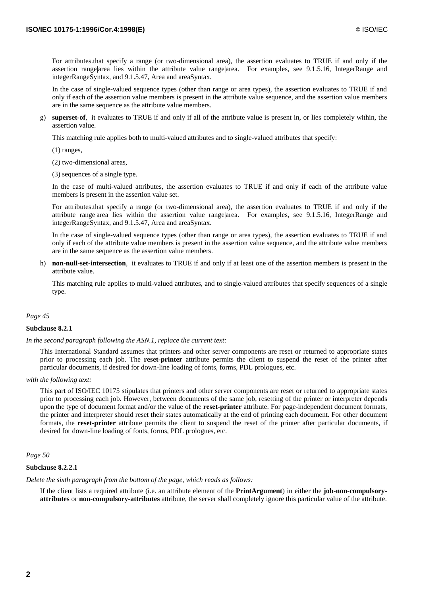For attributes.that specify a range (or two-dimensional area), the assertion evaluates to TRUE if and only if the assertion range|area lies within the attribute value range|area. For examples, see 9.1.5.16, IntegerRange and integerRangeSyntax, and 9.1.5.47, Area and areaSyntax.

In the case of single-valued sequence types (other than range or area types), the assertion evaluates to TRUE if and only if each of the assertion value members is present in the attribute value sequence, and the assertion value members are in the same sequence as the attribute value members.

g) **superset-of**, it evaluates to TRUE if and only if all of the attribute value is present in, or lies completely within, the assertion value.

This matching rule applies both to multi-valued attributes and to single-valued attributes that specify:

(1) ranges,

(2) two-dimensional areas,

(3) sequences of a single type.

In the case of multi-valued attributes, the assertion evaluates to TRUE if and only if each of the attribute value members is present in the assertion value set.

For attributes.that specify a range (or two-dimensional area), the assertion evaluates to TRUE if and only if the attribute range|area lies within the assertion value range|area. For examples, see 9.1.5.16, IntegerRange and integerRangeSyntax, and 9.1.5.47, Area and areaSyntax.

In the case of single-valued sequence types (other than range or area types), the assertion evaluates to TRUE if and only if each of the attribute value members is present in the assertion value sequence, and the attribute value members are in the same sequence as the assertion value members.

h) **non-null-set-intersection**, it evaluates to TRUE if and only if at least one of the assertion members is present in the attribute value.

This matching rule applies to multi-valued attributes, and to single-valued attributes that specify sequences of a single type.

#### *Page 45*

#### **Subclause 8.2.1**

*In the second paragraph following the ASN.1, replace the current text:*

This International Standard assumes that printers and other server components are reset or returned to appropriate states prior to processing each job. The **reset-printer** attribute permits the client to suspend the reset of the printer after particular documents, if desired for down-line loading of fonts, forms, PDL prologues, etc.

*with the following text:*

This part of ISO/IEC 10175 stipulates that printers and other server components are reset or returned to appropriate states prior to processing each job. However, between documents of the same job, resetting of the printer or interpreter depends upon the type of document format and/or the value of the **reset-printer** attribute. For page-independent document formats, the printer and interpreter should reset their states automatically at the end of printing each document. For other document formats, the **reset-printer** attribute permits the client to suspend the reset of the printer after particular documents, if desired for down-line loading of fonts, forms, PDL prologues, etc.

*Page 50*

#### **Subclause 8.2.2.1**

*Delete the sixth paragraph from the bottom of the page, which reads as follows:*

If the client lists a required attribute (i.e. an attribute element of the **PrintArgument**) in either the **job-non-compulsoryattributes** or **non-compulsory-attributes** attribute, the server shall completely ignore this particular value of the attribute.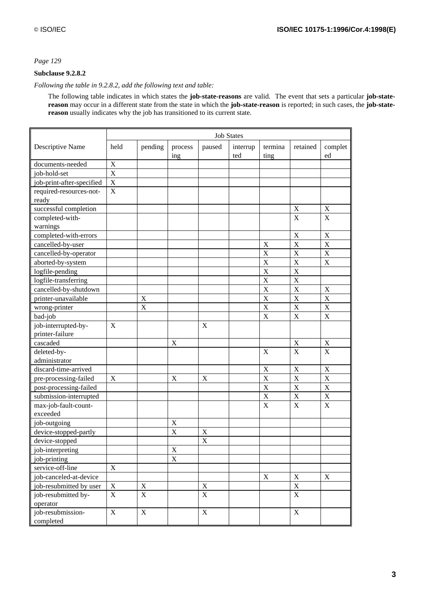# **Subclause 9.2.8.2**

## *Following the table in 9.2.8.2, add the following text and table:*

The following table indicates in which states the **job-state-reasons** are valid. The event that sets a particular **job-statereason** may occur in a different state from the state in which the **job-state-reason** is reported; in such cases, the **job-statereason** usually indicates why the job has transitioned to its current state.

|                           | <b>Job States</b>         |                |                |                  |                 |                 |                         |                         |
|---------------------------|---------------------------|----------------|----------------|------------------|-----------------|-----------------|-------------------------|-------------------------|
| Descriptive Name          | held                      | pending        | process<br>ing | paused           | interrup<br>ted | termina<br>ting | retained                | complet<br>ed           |
| documents-needed          | X                         |                |                |                  |                 |                 |                         |                         |
| job-hold-set              | $\mathbf X$               |                |                |                  |                 |                 |                         |                         |
| job-print-after-specified | X                         |                |                |                  |                 |                 |                         |                         |
| required-resources-not-   | $\mathbf X$               |                |                |                  |                 |                 |                         |                         |
| ready                     |                           |                |                |                  |                 |                 |                         |                         |
| successful completion     |                           |                |                |                  |                 |                 | X                       | $\mathbf X$             |
| completed-with-           |                           |                |                |                  |                 |                 | X                       | $\mathbf X$             |
| warnings                  |                           |                |                |                  |                 |                 |                         |                         |
| completed-with-errors     |                           |                |                |                  |                 |                 | X                       | $\mathbf X$             |
| cancelled-by-user         |                           |                |                |                  |                 | $\mathbf X$     | $\overline{\mathbf{X}}$ | $\overline{\mathbf{X}}$ |
| cancelled-by-operator     |                           |                |                |                  |                 | $\mathbf X$     | $\mathbf X$             | $\mathbf X$             |
| aborted-by-system         |                           |                |                |                  |                 | $\mathbf X$     | $\overline{X}$          | $\mathbf X$             |
| logfile-pending           |                           |                |                |                  |                 | X               | $\overline{X}$          |                         |
| logfile-transferring      |                           |                |                |                  |                 | X               | $\overline{\mathbf{X}}$ |                         |
| cancelled-by-shutdown     |                           |                |                |                  |                 | $\mathbf X$     | X                       | X                       |
| printer-unavailable       |                           | X              |                |                  |                 | $\overline{X}$  | $\overline{X}$          | X                       |
| wrong-printer             |                           | X              |                |                  |                 | $\mathbf X$     | $\overline{X}$          | X                       |
| bad-job                   |                           |                |                |                  |                 | $\overline{X}$  | $\overline{\mathbf{X}}$ | $\overline{\mathbf{X}}$ |
| job-interrupted-by-       | $\mathbf X$               |                |                | $\boldsymbol{X}$ |                 |                 |                         |                         |
| printer-failure           |                           |                |                |                  |                 |                 |                         |                         |
| cascaded                  |                           |                | $\mathbf X$    |                  |                 |                 | X                       | X                       |
| deleted-by-               |                           |                |                |                  |                 | $\mathbf X$     | X                       | $\mathbf X$             |
| administrator             |                           |                |                |                  |                 |                 |                         |                         |
| discard-time-arrived      |                           |                |                |                  |                 | $\mathbf X$     | $\mathbf X$             | $\mathbf X$             |
| pre-processing-failed     | $\boldsymbol{\mathrm{X}}$ |                | $\mathbf X$    | $\mathbf X$      |                 | $\mathbf X$     | $\overline{\mathbf{X}}$ | $\overline{\mathbf{X}}$ |
| post-processing-failed    |                           |                |                |                  |                 | $\mathbf X$     | $\mathbf X$             | $\mathbf X$             |
| submission-interrupted    |                           |                |                |                  |                 | $\overline{X}$  | $\overline{X}$          | $\bar{X}$               |
| max-job-fault-count-      |                           |                |                |                  |                 | X               | X                       | X                       |
| exceeded                  |                           |                |                |                  |                 |                 |                         |                         |
| job-outgoing              |                           |                | X              |                  |                 |                 |                         |                         |
| device-stopped-partly     |                           |                | X              | X                |                 |                 |                         |                         |
| device-stopped            |                           |                |                | X                |                 |                 |                         |                         |
| job-interpreting          |                           |                | $\mathbf X$    |                  |                 |                 |                         |                         |
| job-printing              |                           |                | $\overline{X}$ |                  |                 |                 |                         |                         |
| service-off-line          | $\mathbf X$               |                |                |                  |                 |                 |                         |                         |
| job-canceled-at-device    |                           |                |                |                  |                 | X               | $\mathbf X$             | X                       |
| job-resubmitted by user   | $\mathbf X$               | $\mathbf X$    |                | $\mathbf X$      |                 |                 | $\mathbf X$             |                         |
| job-resubmitted by-       | $\mathbf X$               | $\overline{X}$ |                | $\overline{X}$   |                 |                 | $\overline{\textbf{X}}$ |                         |
| operator                  |                           |                |                |                  |                 |                 |                         |                         |
| job-resubmission-         | $\mathbf X$               | $\mathbf X$    |                | $\mathbf X$      |                 |                 | $\mathbf X$             |                         |
| completed                 |                           |                |                |                  |                 |                 |                         |                         |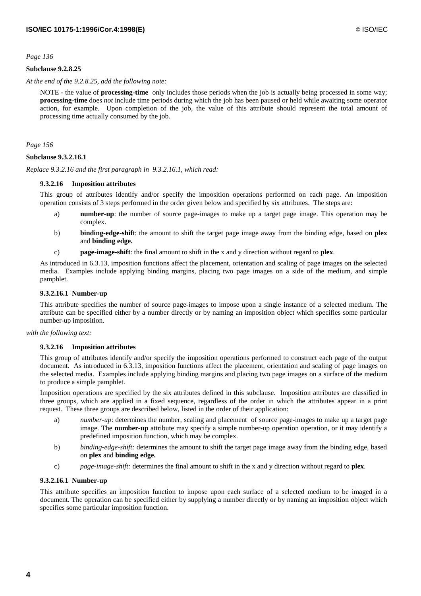## **Subclause 9.2.8.25**

*At the end of the 9.2.8.25, add the following note:*

NOTE - the value of **processing-time** only includes those periods when the job is actually being processed in some way; **processing-time** does *not* include time periods during which the job has been paused or held while awaiting some operator action, for example. Upon completion of the job, the value of this attribute should represent the total amount of processing time actually consumed by the job.

*Page 156*

## **Subclause 9.3.2.16.1**

*Replace 9.3.2.16 and the first paragraph in 9.3.2.16.1, which read:*

## **9.3.2.16 Imposition attributes**

This group of attributes identify and/or specify the imposition operations performed on each page. An imposition operation consists of 3 steps performed in the order given below and specified by six attributes. The steps are:

- a) **number-up**: the number of source page-images to make up a target page image. This operation may be complex.
- b) **binding-edge-shif**t: the amount to shift the target page image away from the binding edge, based on **plex** and **binding edge.**
- c) **page-image-shift**: the final amount to shift in the x and y direction without regard to **plex**.

As introduced in 6.3.13, imposition functions affect the placement, orientation and scaling of page images on the selected media. Examples include applying binding margins, placing two page images on a side of the medium, and simple pamphlet.

## **9.3.2.16.1 Number-up**

This attribute specifies the number of source page-images to impose upon a single instance of a selected medium. The attribute can be specified either by a number directly or by naming an imposition object which specifies some particular number-up imposition.

#### *with the following text:*

#### **9.3.2.16 Imposition attributes**

This group of attributes identify and/or specify the imposition operations performed to construct each page of the output document. As introduced in 6.3.13, imposition functions affect the placement, orientation and scaling of page images on the selected media. Examples include applying binding margins and placing two page images on a surface of the medium to produce a simple pamphlet.

Imposition operations are specified by the six attributes defined in this subclause. Imposition attributes are classified in three groups, which are applied in a fixed sequence, regardless of the order in which the attributes appear in a print request. These three groups are described below, listed in the order of their application:

- a) *number-up*: determines the number, scaling and placement of source page-images to make up a target page image. The **number-up** attribute may specify a simple number-up operation operation, or it may identify a predefined imposition function, which may be complex.
- b) *binding-edge-shift:* determines the amount to shift the target page image away from the binding edge, based on **plex** and **binding edge.**
- c) *page-image-shift:* determines the final amount to shift in the x and y direction without regard to **plex**.

#### **9.3.2.16.1 Number-up**

This attribute specifies an imposition function to impose upon each surface of a selected medium to be imaged in a document. The operation can be specified either by supplying a number directly or by naming an imposition object which specifies some particular imposition function.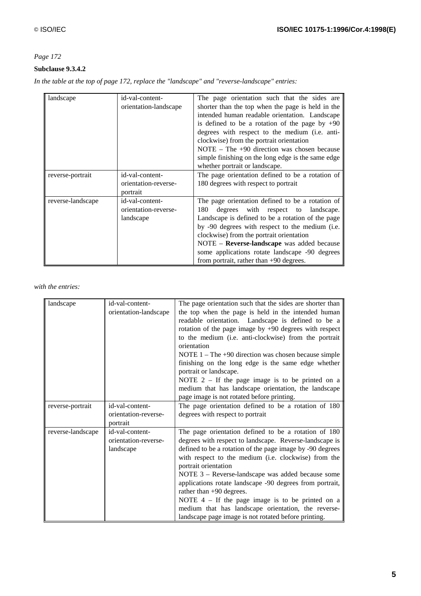# **Subclause 9.3.4.2**

*In the table at the top of page 172, replace the "landscape" and "reverse-landscape" entries:*

| landscape         | id-val-content-<br>orientation-landscape             | The page orientation such that the sides are<br>shorter than the top when the page is held in the<br>intended human readable orientation. Landscape<br>is defined to be a rotation of the page by $+90$<br>degrees with respect to the medium (i.e. anti-<br>clockwise) from the portrait orientation<br>NOTE $-$ The $+90$ direction was chosen because<br>simple finishing on the long edge is the same edge<br>whether portrait or landscape. |
|-------------------|------------------------------------------------------|--------------------------------------------------------------------------------------------------------------------------------------------------------------------------------------------------------------------------------------------------------------------------------------------------------------------------------------------------------------------------------------------------------------------------------------------------|
| reverse-portrait  | id-val-content-<br>orientation-reverse-<br>portrait  | The page orientation defined to be a rotation of<br>180 degrees with respect to portrait                                                                                                                                                                                                                                                                                                                                                         |
| reverse-landscape | id-val-content-<br>orientation-reverse-<br>landscape | The page orientation defined to be a rotation of<br>180 degrees with respect to landscape.<br>Landscape is defined to be a rotation of the page<br>by -90 degrees with respect to the medium (i.e.<br>clockwise) from the portrait orientation<br>NOTE - Reverse-landscape was added because<br>some applications rotate landscape -90 degrees<br>from portrait, rather than $+90$ degrees.                                                      |

## *with the entries:*

| landscape         | id-val-content-<br>orientation-landscape             | The page orientation such that the sides are shorter than<br>the top when the page is held in the intended human<br>readable orientation. Landscape is defined to be a<br>rotation of the page image by $+90$ degrees with respect<br>to the medium (i.e. anti-clockwise) from the portrait<br>orientation<br>NOTE $1 -$ The +90 direction was chosen because simple<br>finishing on the long edge is the same edge whether<br>portrait or landscape.<br>NOTE $2 - If the page image is to be printed on a$<br>medium that has landscape orientation, the landscape              |
|-------------------|------------------------------------------------------|----------------------------------------------------------------------------------------------------------------------------------------------------------------------------------------------------------------------------------------------------------------------------------------------------------------------------------------------------------------------------------------------------------------------------------------------------------------------------------------------------------------------------------------------------------------------------------|
| reverse-portrait  | id-val-content-                                      | page image is not rotated before printing.<br>The page orientation defined to be a rotation of 180                                                                                                                                                                                                                                                                                                                                                                                                                                                                               |
|                   | orientation-reverse-<br>portrait                     | degrees with respect to portrait                                                                                                                                                                                                                                                                                                                                                                                                                                                                                                                                                 |
| reverse-landscape | id-val-content-<br>orientation-reverse-<br>landscape | The page orientation defined to be a rotation of 180<br>degrees with respect to landscape. Reverse-landscape is<br>defined to be a rotation of the page image by -90 degrees<br>with respect to the medium (i.e. clockwise) from the<br>portrait orientation<br>NOTE 3 - Reverse-landscape was added because some<br>applications rotate landscape -90 degrees from portrait,<br>rather than $+90$ degrees.<br>NOTE $4 - If the page image is to be printed on a$<br>medium that has landscape orientation, the reverse-<br>landscape page image is not rotated before printing. |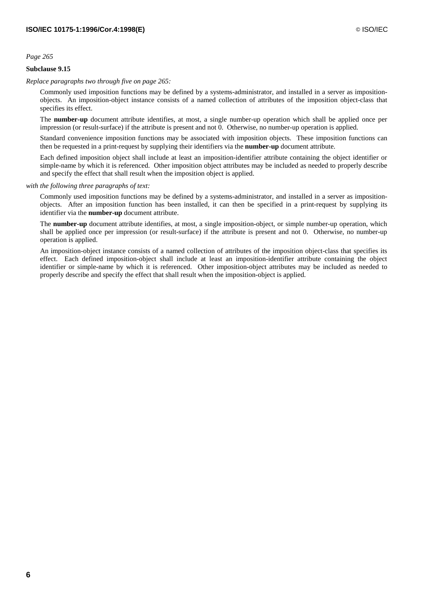## **Subclause 9.15**

## *Replace paragraphs two through five on page 265:*

Commonly used imposition functions may be defined by a systems-administrator, and installed in a server as impositionobjects. An imposition-object instance consists of a named collection of attributes of the imposition object-class that specifies its effect.

The **number-up** document attribute identifies, at most, a single number-up operation which shall be applied once per impression (or result-surface) if the attribute is present and not 0. Otherwise, no number-up operation is applied.

Standard convenience imposition functions may be associated with imposition objects. These imposition functions can then be requested in a print-request by supplying their identifiers via the **number-up** document attribute.

Each defined imposition object shall include at least an imposition-identifier attribute containing the object identifier or simple-name by which it is referenced. Other imposition object attributes may be included as needed to properly describe and specify the effect that shall result when the imposition object is applied.

#### *with the following three paragraphs of text:*

Commonly used imposition functions may be defined by a systems-administrator, and installed in a server as impositionobjects. After an imposition function has been installed, it can then be specified in a print-request by supplying its identifier via the **number-up** document attribute.

The **number-up** document attribute identifies, at most, a single imposition-object, or simple number-up operation, which shall be applied once per impression (or result-surface) if the attribute is present and not 0. Otherwise, no number-up operation is applied.

An imposition-object instance consists of a named collection of attributes of the imposition object-class that specifies its effect. Each defined imposition-object shall include at least an imposition-identifier attribute containing the object identifier or simple-name by which it is referenced. Other imposition-object attributes may be included as needed to properly describe and specify the effect that shall result when the imposition-object is applied.